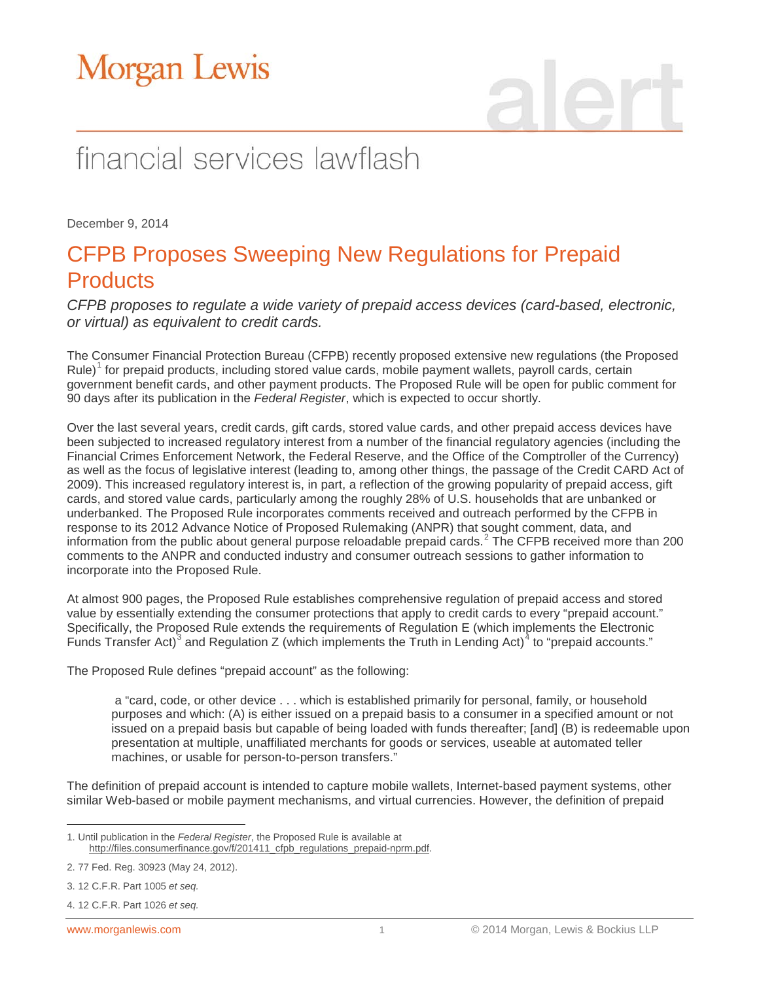# **Morgan Lewis**

## financial services lawflash

December 9, 2014

### CFPB Proposes Sweeping New Regulations for Prepaid **Products**

*CFPB proposes to regulate a wide variety of prepaid access devices (card-based, electronic, or virtual) as equivalent to credit cards.*

The Consumer Financial Protection Bureau (CFPB) recently proposed extensive new regulations (the Proposed  $Rule{Rule}$ <sup>[1](#page-0-0)</sup> for prepaid products, including stored value cards, mobile payment wallets, payroll cards, certain government benefit cards, and other payment products. The Proposed Rule will be open for public comment for 90 days after its publication in the *Federal Register*, which is expected to occur shortly.

Over the last several years, credit cards, gift cards, stored value cards, and other prepaid access devices have been subjected to increased regulatory interest from a number of the financial regulatory agencies (including the Financial Crimes Enforcement Network, the Federal Reserve, and the Office of the Comptroller of the Currency) as well as the focus of legislative interest (leading to, among other things, the passage of the Credit CARD Act of 2009). This increased regulatory interest is, in part, a reflection of the growing popularity of prepaid access, gift cards, and stored value cards, particularly among the roughly 28% of U.S. households that are unbanked or underbanked. The Proposed Rule incorporates comments received and outreach performed by the CFPB in response to its 2012 Advance Notice of Proposed Rulemaking (ANPR) that sought comment, data, and information from the public about general purpose reloadable prepaid cards.<sup>[2](#page-0-1)</sup> The CFPB received more than 200 comments to the ANPR and conducted industry and consumer outreach sessions to gather information to incorporate into the Proposed Rule.

At almost 900 pages, the Proposed Rule establishes comprehensive regulation of prepaid access and stored value by essentially extending the consumer protections that apply to credit cards to every "prepaid account." Specifically, the Proposed Rule extends the requirements of Regulation E (which implements the Electronic Funds Transfer Act)<sup>[3](#page-0-2)</sup> and Regulation Z (which implements the Truth in Lending Act)<sup>[4](#page-0-3)</sup> to "prepaid accounts."

The Proposed Rule defines "prepaid account" as the following:

a "card, code, or other device . . . which is established primarily for personal, family, or household purposes and which: (A) is either issued on a prepaid basis to a consumer in a specified amount or not issued on a prepaid basis but capable of being loaded with funds thereafter; [and] (B) is redeemable upon presentation at multiple, unaffiliated merchants for goods or services, useable at automated teller machines, or usable for person-to-person transfers."

The definition of prepaid account is intended to capture mobile wallets, Internet-based payment systems, other similar Web-based or mobile payment mechanisms, and virtual currencies. However, the definition of prepaid

<span id="page-0-0"></span> $\overline{a}$ 1. Until publication in the *Federal Register*, the Proposed Rule is available at [http://files.consumerfinance.gov/f/201411\\_cfpb\\_regulations\\_prepaid-nprm.pdf.](http://files.consumerfinance.gov/f/201411_cfpb_regulations_prepaid-nprm.pdf) 

<span id="page-0-1"></span><sup>2. 77</sup> Fed. Reg. 30923 (May 24, 2012).

<span id="page-0-2"></span><sup>3. 12</sup> C.F.R. Part 1005 *et seq.*

<span id="page-0-3"></span><sup>4. 12</sup> C.F.R. Part 1026 *et seq.*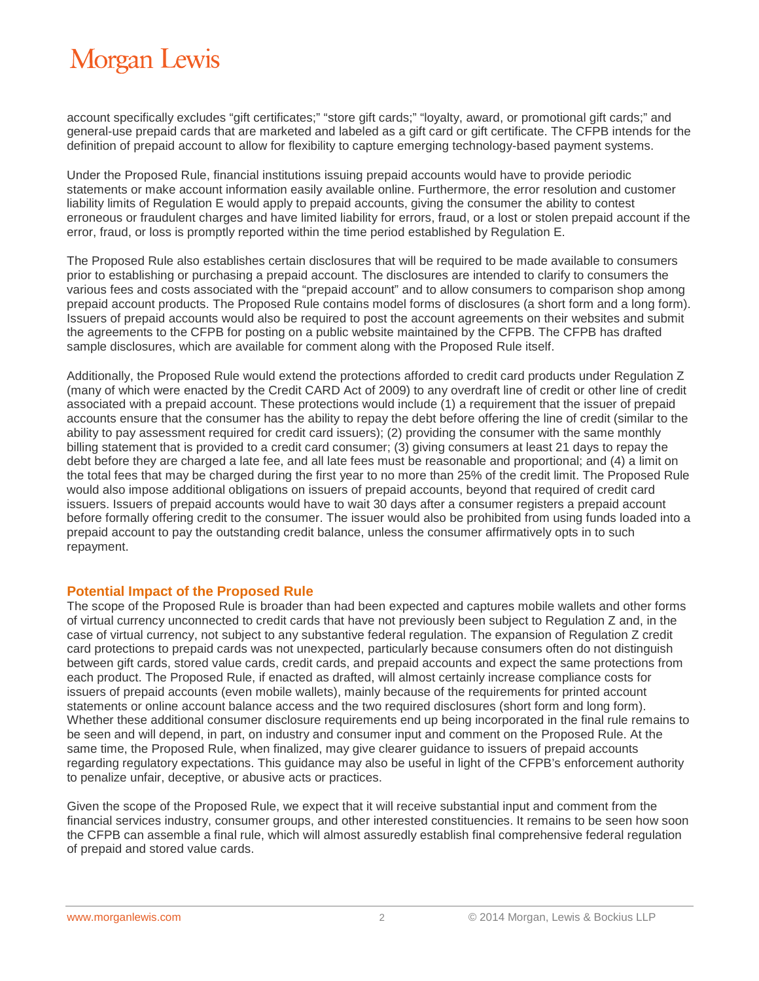## **Morgan Lewis**

account specifically excludes "gift certificates;" "store gift cards;" "loyalty, award, or promotional gift cards;" and general-use prepaid cards that are marketed and labeled as a gift card or gift certificate. The CFPB intends for the definition of prepaid account to allow for flexibility to capture emerging technology-based payment systems.

Under the Proposed Rule, financial institutions issuing prepaid accounts would have to provide periodic statements or make account information easily available online. Furthermore, the error resolution and customer liability limits of Regulation E would apply to prepaid accounts, giving the consumer the ability to contest erroneous or fraudulent charges and have limited liability for errors, fraud, or a lost or stolen prepaid account if the error, fraud, or loss is promptly reported within the time period established by Regulation E.

The Proposed Rule also establishes certain disclosures that will be required to be made available to consumers prior to establishing or purchasing a prepaid account. The disclosures are intended to clarify to consumers the various fees and costs associated with the "prepaid account" and to allow consumers to comparison shop among prepaid account products. The Proposed Rule contains model forms of disclosures (a short form and a long form). Issuers of prepaid accounts would also be required to post the account agreements on their websites and submit the agreements to the CFPB for posting on a public website maintained by the CFPB. The CFPB has drafted sample disclosures, which are available for comment along with the Proposed Rule itself.

Additionally, the Proposed Rule would extend the protections afforded to credit card products under Regulation Z (many of which were enacted by the Credit CARD Act of 2009) to any overdraft line of credit or other line of credit associated with a prepaid account. These protections would include (1) a requirement that the issuer of prepaid accounts ensure that the consumer has the ability to repay the debt before offering the line of credit (similar to the ability to pay assessment required for credit card issuers); (2) providing the consumer with the same monthly billing statement that is provided to a credit card consumer; (3) giving consumers at least 21 days to repay the debt before they are charged a late fee, and all late fees must be reasonable and proportional; and (4) a limit on the total fees that may be charged during the first year to no more than 25% of the credit limit. The Proposed Rule would also impose additional obligations on issuers of prepaid accounts, beyond that required of credit card issuers. Issuers of prepaid accounts would have to wait 30 days after a consumer registers a prepaid account before formally offering credit to the consumer. The issuer would also be prohibited from using funds loaded into a prepaid account to pay the outstanding credit balance, unless the consumer affirmatively opts in to such repayment.

#### **Potential Impact of the Proposed Rule**

The scope of the Proposed Rule is broader than had been expected and captures mobile wallets and other forms of virtual currency unconnected to credit cards that have not previously been subject to Regulation Z and, in the case of virtual currency, not subject to any substantive federal regulation. The expansion of Regulation Z credit card protections to prepaid cards was not unexpected, particularly because consumers often do not distinguish between gift cards, stored value cards, credit cards, and prepaid accounts and expect the same protections from each product. The Proposed Rule, if enacted as drafted, will almost certainly increase compliance costs for issuers of prepaid accounts (even mobile wallets), mainly because of the requirements for printed account statements or online account balance access and the two required disclosures (short form and long form). Whether these additional consumer disclosure requirements end up being incorporated in the final rule remains to be seen and will depend, in part, on industry and consumer input and comment on the Proposed Rule. At the same time, the Proposed Rule, when finalized, may give clearer guidance to issuers of prepaid accounts regarding regulatory expectations. This guidance may also be useful in light of the CFPB's enforcement authority to penalize unfair, deceptive, or abusive acts or practices.

Given the scope of the Proposed Rule, we expect that it will receive substantial input and comment from the financial services industry, consumer groups, and other interested constituencies. It remains to be seen how soon the CFPB can assemble a final rule, which will almost assuredly establish final comprehensive federal regulation of prepaid and stored value cards.